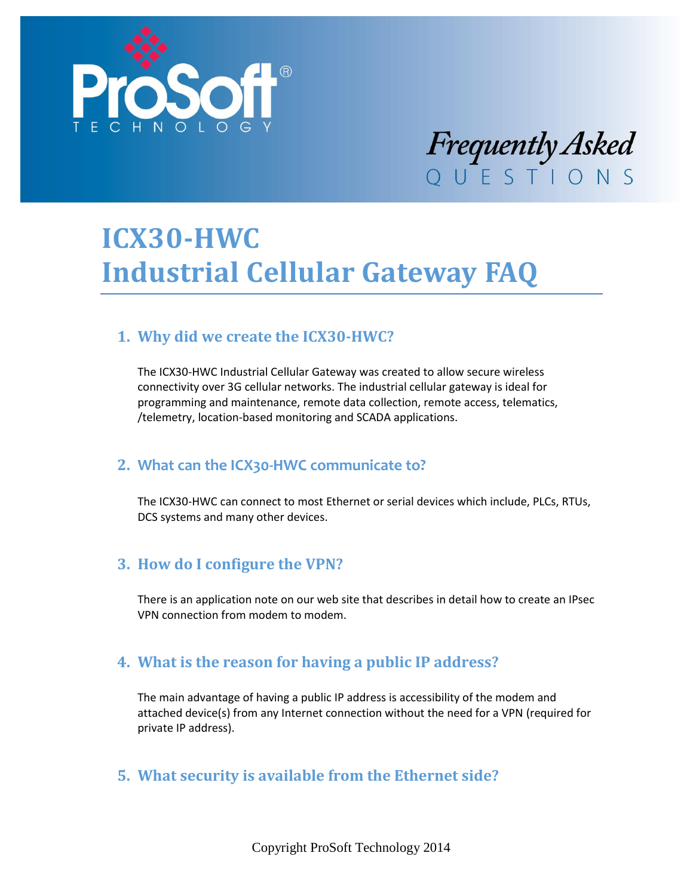

# Frequently Asked

# **ICX30-HWC Industrial Cellular Gateway FAQ**

# **1. Why did we create the ICX30-HWC?**

The ICX30-HWC Industrial Cellular Gateway was created to allow secure wireless connectivity over 3G cellular networks. The industrial cellular gateway is ideal for programming and maintenance, remote data collection, remote access, telematics, /telemetry, location-based monitoring and SCADA applications.

#### **2. What can the ICX30-HWC communicate to?**

The ICX30-HWC can connect to most Ethernet or serial devices which include, PLCs, RTUs, DCS systems and many other devices.

# **3. How do I configure the VPN?**

There is an application note on our web site that describes in detail how to create an IPsec VPN connection from modem to modem.

#### **4. What is the reason for having a public IP address?**

The main advantage of having a public IP address is accessibility of the modem and attached device(s) from any Internet connection without the need for a VPN (required for private IP address).

#### **5. What security is available from the Ethernet side?**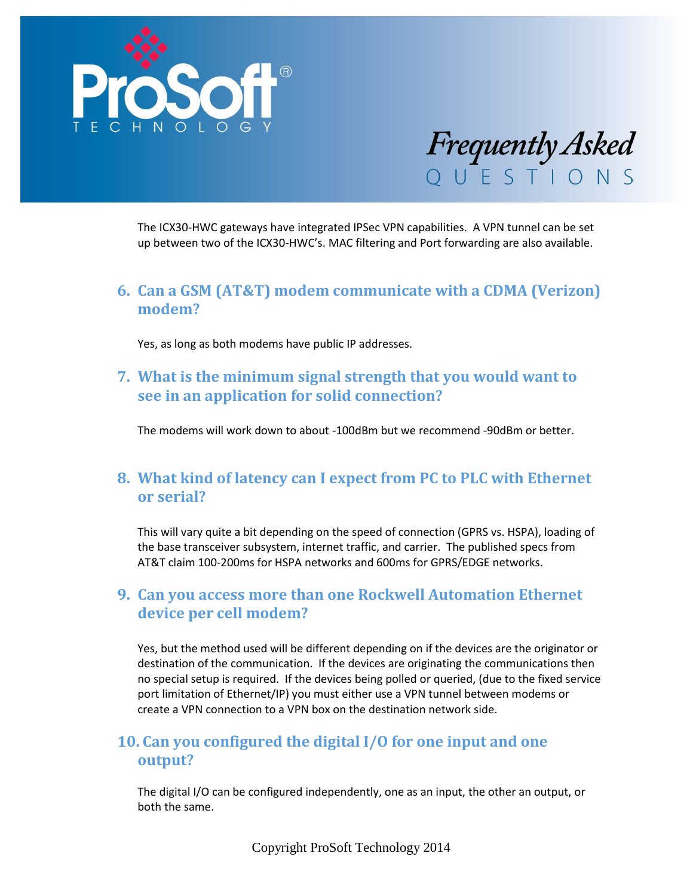



The ICX30-HWC gateways have integrated IPSec VPN capabilities. A VPN tunnel can be set up between two of the ICX30-HWC's. MAC filtering and Port forwarding are also available.

#### **6. Can a GSM (AT&T) modem communicate with a CDMA (Verizon) modem?**

Yes, as long as both modems have public IP addresses.

#### **7. What is the minimum signal strength that you would want to see in an application for solid connection?**

The modems will work down to about -100dBm but we recommend -90dBm or better.

#### **8. What kind of latency can I expect from PC to PLC with Ethernet or serial?**

This will vary quite a bit depending on the speed of connection (GPRS vs. HSPA), loading of the base transceiver subsystem, internet traffic, and carrier. The published specs from AT&T claim 100-200ms for HSPA networks and 600ms for GPRS/EDGE networks.

#### **9. Can you access more than one Rockwell Automation Ethernet device per cell modem?**

Yes, but the method used will be different depending on if the devices are the originator or destination of the communication. If the devices are originating the communications then no special setup is required. If the devices being polled or queried, (due to the fixed service port limitation of Ethernet/IP) you must either use a VPN tunnel between modems or create a VPN connection to a VPN box on the destination network side.

#### **10. Can you configured the digital I/O for one input and one output?**

The digital I/O can be configured independently, one as an input, the other an output, or both the same.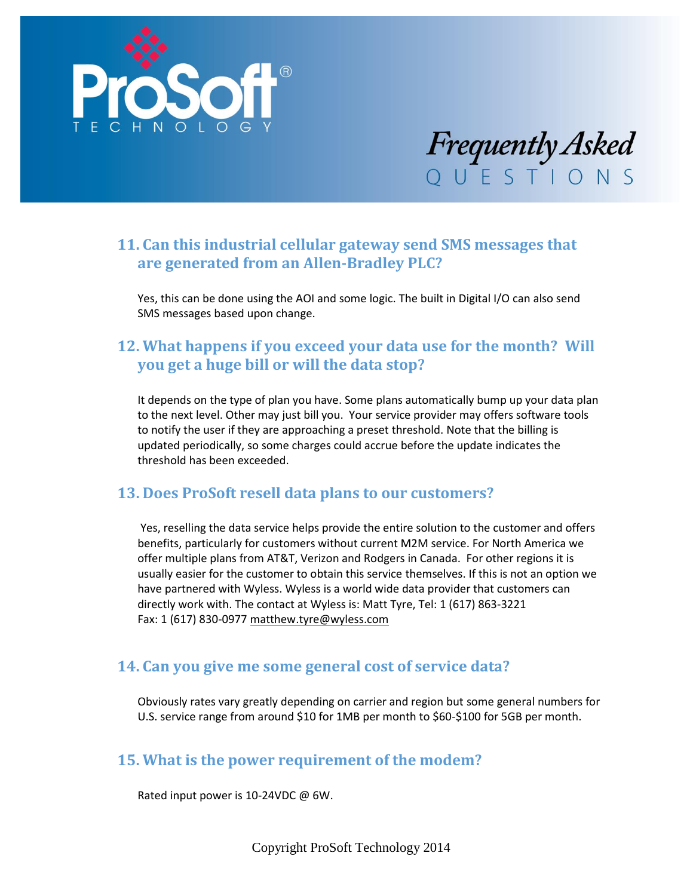



# **11. Can this industrial cellular gateway send SMS messages that are generated from an Allen-Bradley PLC?**

Yes, this can be done using the AOI and some logic. The built in Digital I/O can also send SMS messages based upon change.

## **12. What happens if you exceed your data use for the month? Will you get a huge bill or will the data stop?**

It depends on the type of plan you have. Some plans automatically bump up your data plan to the next level. Other may just bill you. Your service provider may offers software tools to notify the user if they are approaching a preset threshold. Note that the billing is updated periodically, so some charges could accrue before the update indicates the threshold has been exceeded.

#### **13. Does ProSoft resell data plans to our customers?**

Yes, reselling the data service helps provide the entire solution to the customer and offers benefits, particularly for customers without current M2M service. For North America we offer multiple plans from AT&T, Verizon and Rodgers in Canada. For other regions it is usually easier for the customer to obtain this service themselves. If this is not an option we have partnered with Wyless. Wyless is a world wide data provider that customers can directly work with. The contact at Wyless is: Matt Tyre, Tel: 1 (617) 863-3221 Fax: 1 (617) 830-0977 [matthew.tyre@wyless.com](mailto:matthew.tyre@wyless.com)

#### **14. Can you give me some general cost of service data?**

Obviously rates vary greatly depending on carrier and region but some general numbers for U.S. service range from around \$10 for 1MB per month to \$60-\$100 for 5GB per month.

#### **15. What is the power requirement of the modem?**

Rated input power is 10-24VDC @ 6W.